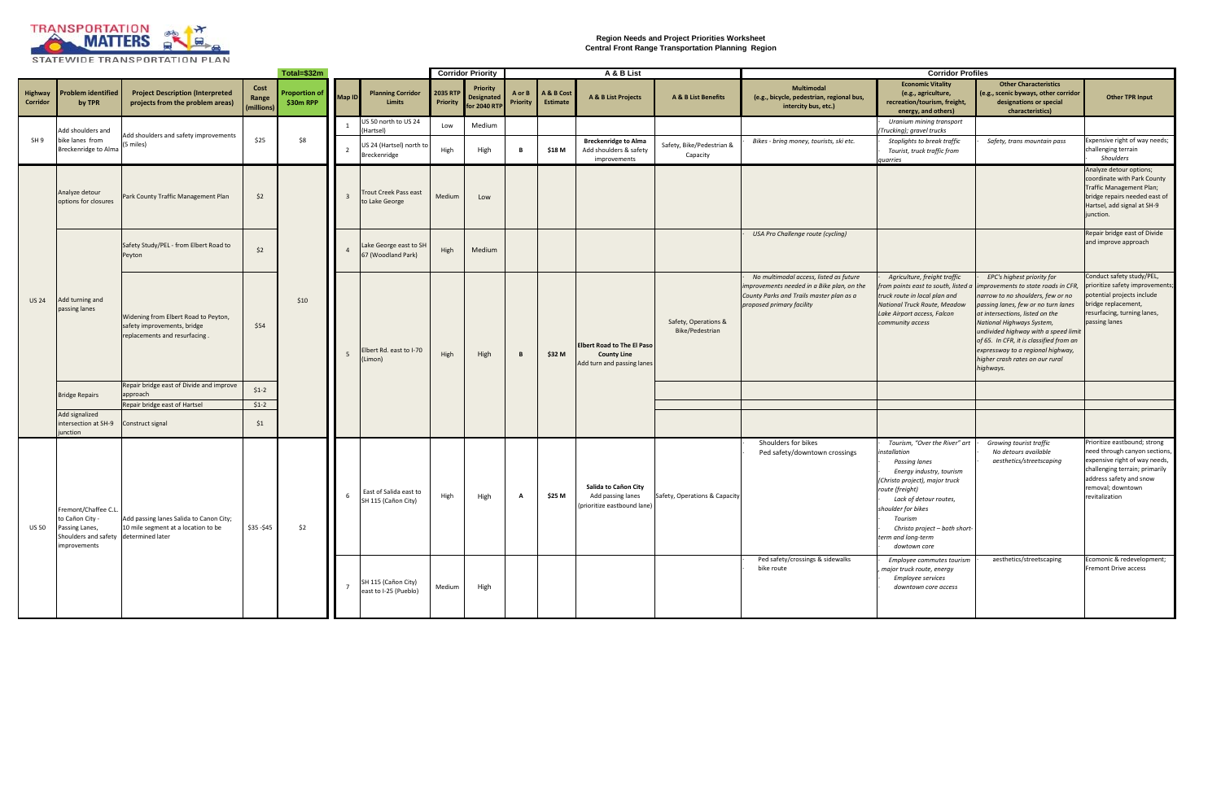| Total=\$32m                |                                                                                                                   |                                                                                                      |                             |                           |               |                                                 | <b>Corridor Priority</b>               |                                                     | A & B List         |                               |                                                                                       |                                         | <b>Corridor Profiles</b>                                                                                                                                      |                                                                                                                                                                                                                                                                                   |                                                                                                                                                                                                                                                                                                                                                                                                                           |                                                                                                                                                                                                    |                                                                                                                                                                 |
|----------------------------|-------------------------------------------------------------------------------------------------------------------|------------------------------------------------------------------------------------------------------|-----------------------------|---------------------------|---------------|-------------------------------------------------|----------------------------------------|-----------------------------------------------------|--------------------|-------------------------------|---------------------------------------------------------------------------------------|-----------------------------------------|---------------------------------------------------------------------------------------------------------------------------------------------------------------|-----------------------------------------------------------------------------------------------------------------------------------------------------------------------------------------------------------------------------------------------------------------------------------|---------------------------------------------------------------------------------------------------------------------------------------------------------------------------------------------------------------------------------------------------------------------------------------------------------------------------------------------------------------------------------------------------------------------------|----------------------------------------------------------------------------------------------------------------------------------------------------------------------------------------------------|-----------------------------------------------------------------------------------------------------------------------------------------------------------------|
| <b>Highway</b><br>Corridor | roblem identified<br>by TPR                                                                                       | <b>Project Description (Interpreted</b><br>projects from the problem areas)                          | Cost<br>Range<br>(millions) | roportion of<br>\$30m RPP | <b>Map ID</b> | <b>Planning Corridor</b><br><b>Limits</b>       | 2035 RT<br><b>Priorit</b>              | <b>Priority</b><br><b>Designated</b><br>or 2040 RTP | A or I<br>Priority | A & B Cost<br><b>Estimate</b> | A & B List Projects                                                                   | A & B List Benefits                     | <b>Multimodal</b><br>(e.g., bicycle, pedestrian, regional bus,<br>intercity bus, etc.)                                                                        | <b>Economic Vitality</b><br>(e.g., agriculture,<br>recreation/tourism, freight,<br>energy, and others)                                                                                                                                                                            | <b>Other Characteristics</b><br>(e.g., scenic byways, other corridor<br>designations or special<br>characteristics)                                                                                                                                                                                                                                                                                                       | <b>Other TPR Input</b>                                                                                                                                                                             |                                                                                                                                                                 |
|                            |                                                                                                                   |                                                                                                      |                             |                           |               | US 50 north to US 24<br>(Hartsel)               | Low                                    | Medium                                              |                    |                               |                                                                                       |                                         |                                                                                                                                                               | Uranium mining transport<br>Trucking); gravel trucks                                                                                                                                                                                                                              |                                                                                                                                                                                                                                                                                                                                                                                                                           |                                                                                                                                                                                                    |                                                                                                                                                                 |
| SH <sub>9</sub>            | Add shoulders and<br>bike lanes from<br>Breckenridge to Alma                                                      | Add shoulders and safety improvements<br>(5 miles)                                                   | \$25                        | \$8                       |               | JS 24 (Hartsel) north to<br><b>Breckenridge</b> | High                                   | High                                                | B                  | \$18 M                        | <b>Breckenridge to Alma</b><br>Add shoulders & safety<br>improvements                 | Safety, Bike/Pedestrian &<br>Capacity   | Bikes - bring money, tourists, ski etc.                                                                                                                       | Stoplights to break traffic<br>Tourist, truck traffic from<br>quarries                                                                                                                                                                                                            | Safety, trans mountain pass                                                                                                                                                                                                                                                                                                                                                                                               | Expensive right of way needs;<br>challenging terrain<br>Shoulders                                                                                                                                  |                                                                                                                                                                 |
| <b>US 24</b>               | Analyze detour<br>options for closures                                                                            | Park County Traffic Management Plan                                                                  | \$2                         | \$10                      |               |                                                 | rout Creek Pass east<br>to Lake George | Medium                                              | Low                |                               |                                                                                       |                                         |                                                                                                                                                               |                                                                                                                                                                                                                                                                                   |                                                                                                                                                                                                                                                                                                                                                                                                                           |                                                                                                                                                                                                    | Analyze detour options;<br>coordinate with Park County<br>Traffic Management Plan;<br>bridge repairs needed east of<br>Hartsel, add signal at SH-9<br>junction. |
|                            | Add turning and<br>passing lanes                                                                                  | Safety Study/PEL - from Elbert Road to<br>Peyton                                                     | \$2                         |                           |               | ake George east to SH<br>57 (Woodland Park)     | High                                   | Medium                                              |                    |                               |                                                                                       |                                         | USA Pro Challenge route (cycling)                                                                                                                             |                                                                                                                                                                                                                                                                                   |                                                                                                                                                                                                                                                                                                                                                                                                                           | Repair bridge east of Divide<br>and improve approach                                                                                                                                               |                                                                                                                                                                 |
|                            |                                                                                                                   | Widening from Elbert Road to Peyton,<br>safety improvements, bridge<br>replacements and resurfacing. | \$54                        |                           |               | Elbert Rd. east to I-70<br>Limon)               | High                                   | High                                                | B                  | \$32 M                        | <b>Elbert Road to The El Paso</b><br><b>County Line</b><br>Add turn and passing lanes | Safety, Operations &<br>Bike/Pedestrian | No multimodal access, listed as future<br>improvements needed in a Bike plan, on the<br>County Parks and Trails master plan as a<br>proposed primary facility | Agriculture, freight traffic<br>truck route in local plan and<br>National Truck Route, Meadow<br>Lake Airport access, Falcon<br>community access                                                                                                                                  | EPC's highest priority for<br>from points east to south, listed a improvements to state roads in CFR,<br>narrow to no shoulders, few or no<br>passing lanes, few or no turn lanes<br>at intersections, listed on the<br>National Highways System,<br>undivided highway with a speed limit<br>of 65. In CFR, it is classified from an<br>expressway to a regional highway,<br>higher crash rates on our rural<br>highways. | Conduct safety study/PEL,<br>prioritize safety improvements;<br>otential projects include<br>bridge replacement,<br>resurfacing, turning lanes,<br>passing lanes                                   |                                                                                                                                                                 |
|                            | <b>Bridge Repairs</b>                                                                                             | Repair bridge east of Divide and improve                                                             | $$1-2$                      |                           |               |                                                 |                                        |                                                     |                    |                               |                                                                                       |                                         |                                                                                                                                                               |                                                                                                                                                                                                                                                                                   |                                                                                                                                                                                                                                                                                                                                                                                                                           |                                                                                                                                                                                                    |                                                                                                                                                                 |
|                            |                                                                                                                   | approach<br>Repair bridge east of Hartsel                                                            | $$1-2$                      |                           |               |                                                 |                                        |                                                     |                    |                               |                                                                                       |                                         |                                                                                                                                                               |                                                                                                                                                                                                                                                                                   |                                                                                                                                                                                                                                                                                                                                                                                                                           |                                                                                                                                                                                                    |                                                                                                                                                                 |
|                            | Add signalized<br>intersection at SH-9<br><i>iunction</i>                                                         | Construct signal                                                                                     | \$1                         |                           |               |                                                 |                                        |                                                     |                    |                               |                                                                                       |                                         |                                                                                                                                                               |                                                                                                                                                                                                                                                                                   |                                                                                                                                                                                                                                                                                                                                                                                                                           |                                                                                                                                                                                                    |                                                                                                                                                                 |
| <b>US 50</b>               | Fremont/Chaffee C.L<br>to Cañon City -<br>Passing Lanes,<br>Shoulders and safety determined later<br>improvements | Add passing lanes Salida to Canon City;<br>10 mile segment at a location to be                       | $$35 - $45$                 | \$2                       | 6             | East of Salida east to<br>SH 115 (Cañon City)   | High                                   | High                                                | A                  | \$25 M                        | Salida to Cañon City<br>Add passing lanes<br>(prioritize eastbound lane)              | Safety, Operations & Capacity           | Shoulders for bikes<br>Ped safety/downtown crossings                                                                                                          | Tourism, "Over the River" art<br>installation<br>Passing lanes<br>Energy industry, tourism<br>(Christo project), major truck<br>route (freight)<br>Lack of detour routes,<br>shoulder for bikes<br>Tourism<br>Christo project - both short-<br>term and long-term<br>dowtown core | Growing tourist traffic<br>No detours available<br>aesthetics/streetscaping                                                                                                                                                                                                                                                                                                                                               | Prioritize eastbound; strong<br>need through canyon sections,<br>expensive right of way needs,<br>challenging terrain; primarily<br>address safety and snow<br>removal; downtown<br>revitalization |                                                                                                                                                                 |
|                            |                                                                                                                   |                                                                                                      |                             |                           |               | SH 115 (Cañon City)<br>east to I-25 (Pueblo)    | Medium                                 | High                                                |                    |                               |                                                                                       |                                         | Ped safety/crossings & sidewalks<br>bike route                                                                                                                | Employee commutes tourism<br>major truck route, energy<br><b>Employee services</b><br>downtown core access                                                                                                                                                                        | aesthetics/streetscaping                                                                                                                                                                                                                                                                                                                                                                                                  | Ecomonic & redevelopment;<br>Fremont Drive access                                                                                                                                                  |                                                                                                                                                                 |



**Region Needs and Project Priorities Worksheet Central Front Range Transportation Planning Region**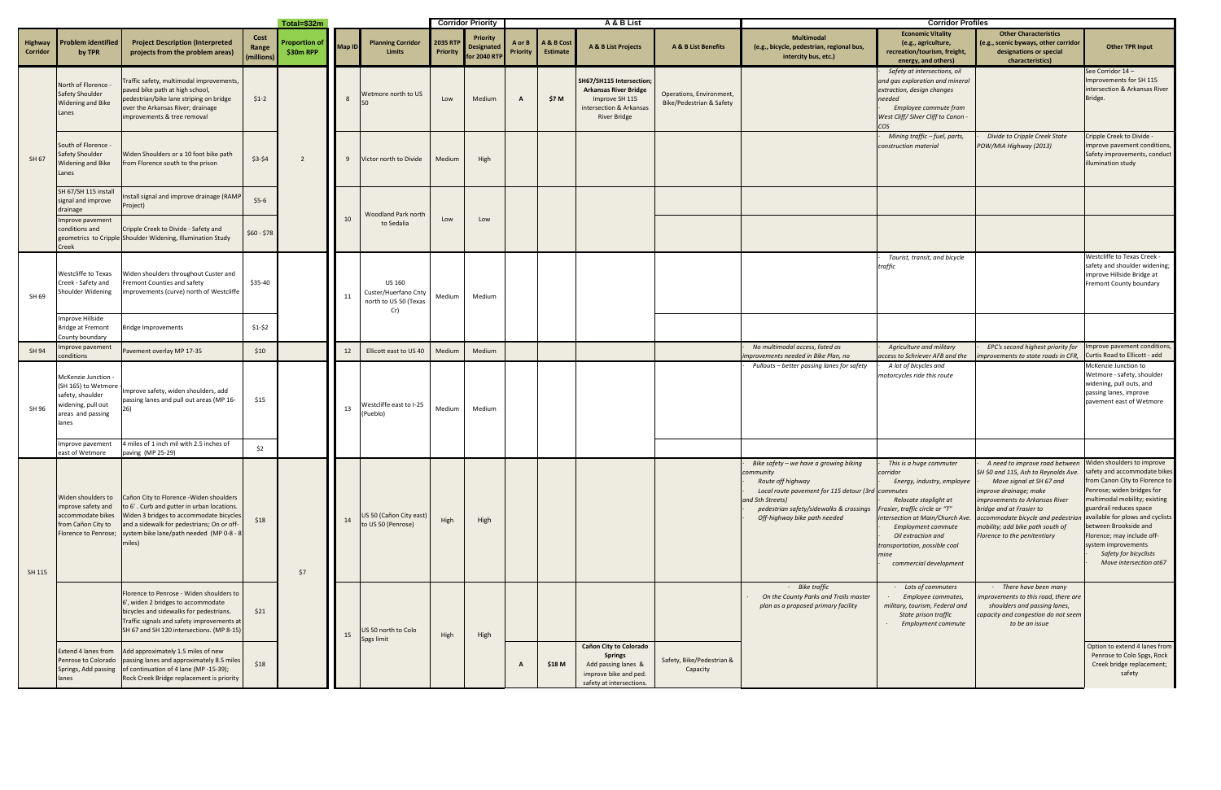| Total=\$32m                |                                                                                                                    |                                                                                                                                                                                                                                       |                             |                                  |               |                                                                       | <b>Corridor Priority</b> |                                               | A & B List         |                               |                                                                                                                              |                                                      | <b>Corridor Profiles</b>                                                                                                                                                                                                     |                                                                                                                                                                                                                                                                                 |                                                                                                                                                                                                                                                                                                                                                                 |                                                                                                                                                                                                                                                                                           |
|----------------------------|--------------------------------------------------------------------------------------------------------------------|---------------------------------------------------------------------------------------------------------------------------------------------------------------------------------------------------------------------------------------|-----------------------------|----------------------------------|---------------|-----------------------------------------------------------------------|--------------------------|-----------------------------------------------|--------------------|-------------------------------|------------------------------------------------------------------------------------------------------------------------------|------------------------------------------------------|------------------------------------------------------------------------------------------------------------------------------------------------------------------------------------------------------------------------------|---------------------------------------------------------------------------------------------------------------------------------------------------------------------------------------------------------------------------------------------------------------------------------|-----------------------------------------------------------------------------------------------------------------------------------------------------------------------------------------------------------------------------------------------------------------------------------------------------------------------------------------------------------------|-------------------------------------------------------------------------------------------------------------------------------------------------------------------------------------------------------------------------------------------------------------------------------------------|
| <b>Highway</b><br>Corridor | <b>Problem identified</b><br>by TPR                                                                                | <b>Project Description (Interpreted</b><br>projects from the problem areas)                                                                                                                                                           | Cost<br>Range<br>(millions) | <b>roportion of</b><br>\$30m RPP | <b>Map ID</b> | <b>Planning Corridor</b><br><b>Limits</b>                             | 2035 RTF<br>Priority     | <b>Priority</b><br>Designated<br>for 2040 RTF | A or B<br>Priority | A & B Cost<br><b>Estimate</b> | A & B List Projects                                                                                                          | <b>A &amp; B List Benefits</b>                       | <b>Multimodal</b><br>(e.g., bicycle, pedestrian, regional bus,<br>intercity bus, etc.)                                                                                                                                       | <b>Economic Vitality</b><br>(e.g., agriculture,<br>recreation/tourism, freight,<br>energy, and others)                                                                                                                                                                          | <b>Other Characteristics</b><br>(e.g., scenic byways, other corridor<br>designations or special<br>characteristics)                                                                                                                                                                                                                                             | <b>Other TPR Input</b>                                                                                                                                                                                                                                                                    |
| SH 67                      | North of Florence<br>Safety Shoulder<br>Widening and Bike<br>Lanes                                                 | Traffic safety, multimodal improvements,<br>paved bike path at high school,<br>pedestrian/bike lane striping on bridge<br>over the Arkansas River; drainage<br>improvements & tree removal                                            | $$1-2$                      |                                  |               | Wetmore north to US                                                   | Low                      | Medium                                        | $\mathbf{A}$       | \$7 M                         | SH67/SH115 Intersection;<br><b>Arkansas River Bridge</b><br>Improve SH 115<br>intersection & Arkansas<br><b>River Bridge</b> | Operations, Environment,<br>Bike/Pedestrian & Safety |                                                                                                                                                                                                                              | Safety at intersections, oil<br>and gas exploration and mineral<br>extraction, design changes<br>needed<br>Employee commute from<br>West Cliff/ Silver Cliff to Canon -                                                                                                         |                                                                                                                                                                                                                                                                                                                                                                 | See Corridor 14 -<br>Improvements for SH 115<br>intersection & Arkansas River<br>Bridge.                                                                                                                                                                                                  |
|                            | South of Florence -<br>Safety Shoulder<br><b>Widening and Bike</b><br>Lanes                                        | Widen Shoulders or a 10 foot bike path<br>from Florence south to the prison                                                                                                                                                           | $$3-$4$                     | $\overline{2}$                   |               | Victor north to Divide                                                | Medium                   | High                                          |                    |                               |                                                                                                                              |                                                      |                                                                                                                                                                                                                              | Mining traffic - fuel, parts,<br>construction material                                                                                                                                                                                                                          | Divide to Cripple Creek State<br>POW/MIA Highway (2013)                                                                                                                                                                                                                                                                                                         | Cripple Creek to Divide -<br>improve pavement conditions,<br>Safety improvements, conduct<br>illumination study                                                                                                                                                                           |
|                            | SH 67/SH 115 install<br>signal and improve<br>drainage                                                             | Install signal and improve drainage (RAMF<br>Project)                                                                                                                                                                                 | $$5-6$                      |                                  | 10            | <b>Woodland Park north</b><br>to Sedalia                              |                          | Low<br>Low                                    |                    |                               |                                                                                                                              |                                                      |                                                                                                                                                                                                                              |                                                                                                                                                                                                                                                                                 |                                                                                                                                                                                                                                                                                                                                                                 |                                                                                                                                                                                                                                                                                           |
|                            | Improve pavement<br>conditions and<br>Creek                                                                        | Cripple Creek to Divide - Safety and<br>geometrics to Cripple Shoulder Widening, Illumination Study                                                                                                                                   | $$60 - $78$                 |                                  |               |                                                                       |                          |                                               |                    |                               |                                                                                                                              |                                                      |                                                                                                                                                                                                                              |                                                                                                                                                                                                                                                                                 |                                                                                                                                                                                                                                                                                                                                                                 |                                                                                                                                                                                                                                                                                           |
| SH 69                      | Westcliffe to Texas<br>Creek - Safety and<br>Shoulder Widening                                                     | Widen shoulders throughout Custer and<br>Fremont Counties and safety<br>improvements (curve) north of Westcliffe                                                                                                                      | \$35-40                     |                                  | 11            | <b>US 160</b><br>Custer/Huerfano Cnty<br>north to US 50 (Texas<br>Cr) | Medium                   | Medium                                        |                    |                               |                                                                                                                              |                                                      |                                                                                                                                                                                                                              | Tourist, transit, and bicycle<br>traffic                                                                                                                                                                                                                                        |                                                                                                                                                                                                                                                                                                                                                                 | Westcliffe to Texas Creek -<br>safety and shoulder widening;<br>improve Hillside Bridge at<br>Fremont County boundary                                                                                                                                                                     |
|                            | mprove Hillside<br><b>Bridge at Fremont</b><br>County boundary                                                     | <b>Bridge Improvements</b>                                                                                                                                                                                                            | $$1-$2$                     |                                  |               |                                                                       |                          |                                               |                    |                               |                                                                                                                              |                                                      |                                                                                                                                                                                                                              |                                                                                                                                                                                                                                                                                 |                                                                                                                                                                                                                                                                                                                                                                 |                                                                                                                                                                                                                                                                                           |
| SH 94                      | mprove pavement<br>conditions                                                                                      | Pavement overlay MP 17-35                                                                                                                                                                                                             | \$10                        |                                  | 12            | Ellicott east to US 40                                                | Medium                   | Medium                                        |                    |                               |                                                                                                                              |                                                      | No multimodal access, listed as<br>improvements needed in Bike Plan, no                                                                                                                                                      | Agriculture and military<br>access to Schriever AFB and the                                                                                                                                                                                                                     | EPC's second highest priority for   Improve pavement conditions,<br>nprovements to state roads in CFR,                                                                                                                                                                                                                                                          | Curtis Road to Ellicott - add                                                                                                                                                                                                                                                             |
| SH 96                      | McKenzie Junction -<br>(SH 165) to Wetmore<br>safety, shoulder<br>widening, pull out<br>areas and passing<br>lanes | Improve safety, widen shoulders, add<br>passing lanes and pull out areas (MP 16-                                                                                                                                                      | \$15                        |                                  | 13            | Nestcliffe east to I-25<br>(Pueblo)                                   | Medium                   | Medium                                        |                    |                               |                                                                                                                              |                                                      | Pullouts – better passing lanes for safety                                                                                                                                                                                   | A lot of bicycles and<br>motorcycles ride this route                                                                                                                                                                                                                            |                                                                                                                                                                                                                                                                                                                                                                 | McKenzie Junction to<br>Wetmore - safety, shoulder<br>widening, pull outs, and<br>passing lanes, improve<br>pavement east of Wetmore                                                                                                                                                      |
|                            | mprove pavement<br>east of Wetmore                                                                                 | 4 miles of 1 inch mil with 2.5 inches of<br>paving (MP 25-29)                                                                                                                                                                         | \$2                         |                                  |               |                                                                       |                          |                                               |                    |                               |                                                                                                                              |                                                      |                                                                                                                                                                                                                              |                                                                                                                                                                                                                                                                                 |                                                                                                                                                                                                                                                                                                                                                                 |                                                                                                                                                                                                                                                                                           |
| SH 115                     | Widen shoulders to<br>improve safety and<br>accommodate bikes<br>from Cañon City to<br>Florence to Penrose;        | Cañon City to Florence - Widen shoulders<br>to 6'. Curb and gutter in urban locations.<br>Widen 3 bridges to accommodate bicycles<br>and a sidewalk for pedestrians; On or off-<br>system bike lane/path needed (MP 0-8 - 8<br>miles) | \$18                        | \$7                              | 14            | US 50 (Cañon City east)<br>to US 50 (Penrose)                         | High                     | High                                          |                    |                               |                                                                                                                              |                                                      | Bike safety - we have a growing biking<br>community<br>Route off highway<br>Local route pavement for 115 detour (3rd commutes<br>and 5th Streets)<br>pedestrian safety/sidewalks & crossings<br>Off-highway bike path needed | This is a huge commuter<br>corridor<br>Energy, industry, employee<br>Relocate stoplight at<br>Frasier, traffic circle or "T"<br>intersection at Main/Church Ave.<br>Employment commute<br>Oil extraction and<br>transportation, possible coal<br>mine<br>commercial development | A need to improve road between Widen shoulders to improve<br>SH 50 and 115, Ash to Reynolds Ave.<br>Move signal at SH 67 and<br>improve drainage; make<br>improvements to Arkansas River<br>bridge and at Frasier to<br>accommodate bicycle and pedestrian available for plows and cyclists<br>mobility; add bike path south of<br>Florence to the penitentiary | safety and accommodate bikes<br>from Canon City to Florence to<br>Penrose; widen bridges for<br>multimodal mobility; existing<br>guardrail reduces space<br>between Brookside and<br>Florence; may include off-<br>system improvements<br>Safety for bicyclists<br>Move intersection at67 |
|                            |                                                                                                                    | Florence to Penrose - Widen shoulders to<br>6', widen 2 bridges to accommodate<br>bicycles and sidewalks for pedestrians.<br>Traffic signals and safety improvements at<br>SH 67 and SH 120 intersections. (MP 8-15)                  | \$21                        |                                  | 15            | US 50 north to Colo<br>Spgs limit                                     | High                     | High                                          |                    |                               |                                                                                                                              |                                                      | · Bike traffic<br>On the County Parks and Trails master<br>plan as a proposed primary facility                                                                                                                               | · Lots of commuters<br>Employee commutes,<br>military, tourism, Federal and<br>State prison traffic<br><b>Employment commute</b>                                                                                                                                                | $\cdot$ There have been many<br>mprovements to this road, there are<br>shoulders and passing lanes,<br>capacity and congestion do not seem<br>to be an issue                                                                                                                                                                                                    |                                                                                                                                                                                                                                                                                           |
|                            | Extend 4 lanes from<br>Penrose to Colorado<br>Springs, Add passing<br>lanes                                        | Add approximately 1.5 miles of new<br>passing lanes and approximately 8.5 miles<br>of continuation of 4 lane (MP -15-39);<br>Rock Creek Bridge replacement is priority                                                                | \$18                        |                                  |               |                                                                       |                          |                                               | A                  | \$18 M                        | Cañon City to Colorado<br><b>Springs</b><br>Add passing lanes &<br>improve bike and ped.<br>safety at intersections.         | Safety, Bike/Pedestrian &<br>Capacity                |                                                                                                                                                                                                                              |                                                                                                                                                                                                                                                                                 |                                                                                                                                                                                                                                                                                                                                                                 | Option to extend 4 lanes from<br>Penrose to Colo Spgs, Rock<br>Creek bridge replacement;<br>safety                                                                                                                                                                                        |